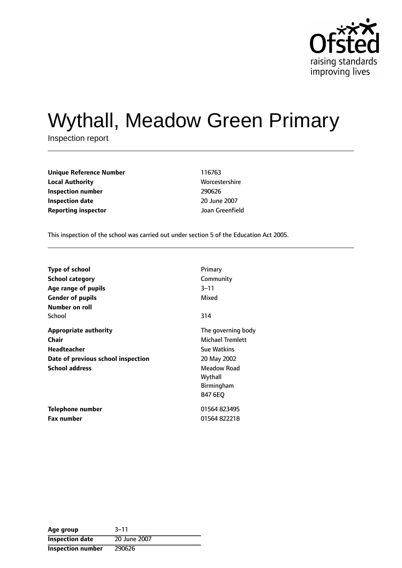

# Wythall, Meadow Green Primary

Inspection report

| Unique Reference Number    | 116763        |
|----------------------------|---------------|
| <b>Local Authority</b>     | <b>Worces</b> |
| Inspection number          | 290626        |
| <b>Inspection date</b>     | $20$ June     |
| <b>Reporting inspector</b> | Joan Gr       |

**Worcestershire 20 June 2007 Joan Greenfield** 

This inspection of the school was carried out under section 5 of the Education Act 2005.

| <b>Type of school</b>                                                                                               | Primary                                                                                                                                             |
|---------------------------------------------------------------------------------------------------------------------|-----------------------------------------------------------------------------------------------------------------------------------------------------|
| <b>School category</b>                                                                                              | Community                                                                                                                                           |
| Age range of pupils                                                                                                 | $3 - 11$                                                                                                                                            |
| <b>Gender of pupils</b>                                                                                             | Mixed                                                                                                                                               |
| Number on roll<br>School<br>314                                                                                     |                                                                                                                                                     |
| <b>Appropriate authority</b><br>Chair<br>Headteacher<br>Date of previous school inspection<br><b>School address</b> | The governing body<br><b>Michael Tremlett</b><br><b>Sue Watkins</b><br>20 May 2002<br><b>Meadow Road</b><br>Wythall<br>Birmingham<br><b>B47 6EO</b> |
| <b>Telephone number</b>                                                                                             | 01564 823495                                                                                                                                        |
| <b>Fax number</b>                                                                                                   | 01564822218                                                                                                                                         |

| Age group                | $3 - 11$     |
|--------------------------|--------------|
| <b>Inspection date</b>   | 20 June 2007 |
| <b>Inspection number</b> | 290626       |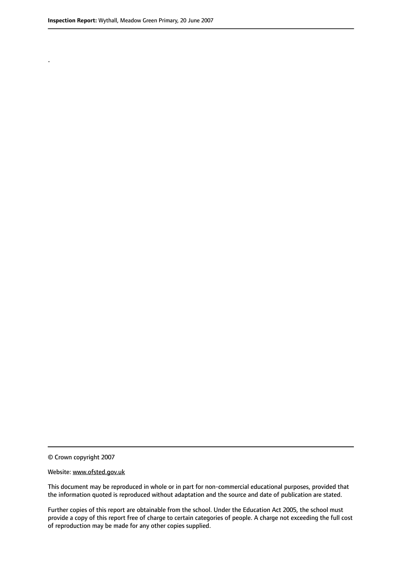.

© Crown copyright 2007

#### Website: www.ofsted.gov.uk

This document may be reproduced in whole or in part for non-commercial educational purposes, provided that the information quoted is reproduced without adaptation and the source and date of publication are stated.

Further copies of this report are obtainable from the school. Under the Education Act 2005, the school must provide a copy of this report free of charge to certain categories of people. A charge not exceeding the full cost of reproduction may be made for any other copies supplied.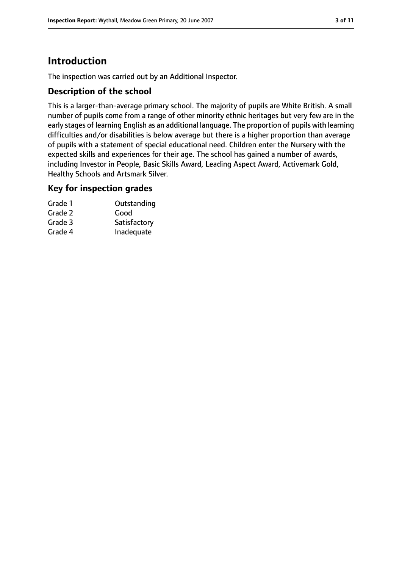### **Introduction**

The inspection was carried out by an Additional Inspector.

#### **Description of the school**

This is a larger-than-average primary school. The majority of pupils are White British. A small number of pupils come from a range of other minority ethnic heritages but very few are in the early stages of learning English as an additional language. The proportion of pupils with learning difficulties and/or disabilities is below average but there is a higher proportion than average of pupils with a statement of special educational need. Children enter the Nursery with the expected skills and experiences for their age. The school has gained a number of awards, including Investor in People, Basic Skills Award, Leading Aspect Award, Activemark Gold, Healthy Schools and Artsmark Silver.

#### **Key for inspection grades**

| Grade 1 | Outstanding  |
|---------|--------------|
| Grade 2 | Good         |
| Grade 3 | Satisfactory |
| Grade 4 | Inadequate   |
|         |              |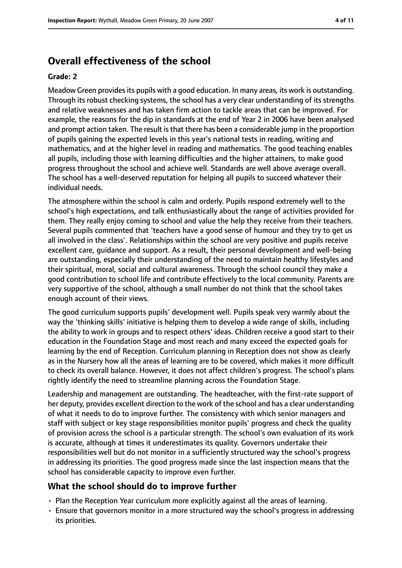### **Overall effectiveness of the school**

#### **Grade: 2**

Meadow Green provides its pupils with a good education. In many areas, its work is outstanding. Through its robust checking systems, the school has a very clear understanding of its strengths and relative weaknesses and has taken firm action to tackle areas that can be improved. For example, the reasons for the dip in standards at the end of Year 2 in 2006 have been analysed and prompt action taken. The result is that there has been a considerable jump in the proportion of pupils gaining the expected levels in this year's national tests in reading, writing and mathematics, and at the higher level in reading and mathematics. The good teaching enables all pupils, including those with learning difficulties and the higher attainers, to make good progress throughout the school and achieve well. Standards are well above average overall. The school has a well-deserved reputation for helping all pupils to succeed whatever their individual needs.

The atmosphere within the school is calm and orderly. Pupils respond extremely well to the school's high expectations, and talk enthusiastically about the range of activities provided for them. They really enjoy coming to school and value the help they receive from their teachers. Several pupils commented that 'teachers have a good sense of humour and they try to get us all involved in the class'. Relationships within the school are very positive and pupils receive excellent care, guidance and support. As a result, their personal development and well-being are outstanding, especially their understanding of the need to maintain healthy lifestyles and their spiritual, moral, social and cultural awareness. Through the school council they make a good contribution to school life and contribute effectively to the local community. Parents are very supportive of the school, although a small number do not think that the school takes enough account of their views.

The good curriculum supports pupils' development well. Pupils speak very warmly about the way the 'thinking skills' initiative is helping them to develop a wide range of skills, including the ability to work in groups and to respect others' ideas. Children receive a good start to their education in the Foundation Stage and most reach and many exceed the expected goals for learning by the end of Reception. Curriculum planning in Reception does not show as clearly as in the Nursery how all the areas of learning are to be covered, which makes it more difficult to check its overall balance. However, it does not affect children's progress. The school's plans rightly identify the need to streamline planning across the Foundation Stage.

Leadership and management are outstanding. The headteacher, with the first-rate support of her deputy, provides excellent direction to the work of the school and has a clear understanding of what it needs to do to improve further. The consistency with which senior managers and staff with subject or key stage responsibilities monitor pupils' progress and check the quality of provision across the school is a particular strength. The school's own evaluation of its work is accurate, although at times it underestimates its quality. Governors undertake their responsibilities well but do not monitor in a sufficiently structured way the school's progress in addressing its priorities. The good progress made since the last inspection means that the school has considerable capacity to improve even further.

### **What the school should do to improve further**

- Plan the Reception Year curriculum more explicitly against all the areas of learning.
- Ensure that governors monitor in a more structured way the school's progress in addressing its priorities.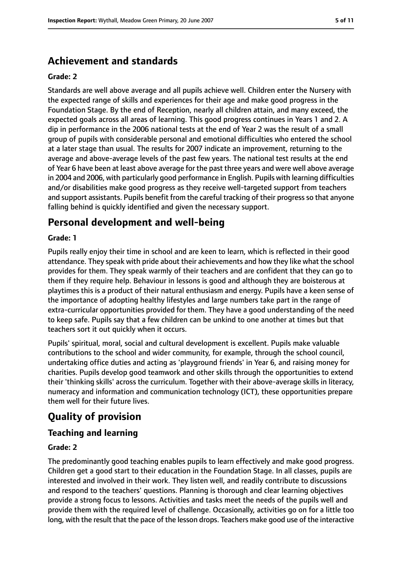### **Achievement and standards**

#### **Grade: 2**

Standards are well above average and all pupils achieve well. Children enter the Nursery with the expected range of skills and experiences for their age and make good progress in the Foundation Stage. By the end of Reception, nearly all children attain, and many exceed, the expected goals across all areas of learning. This good progress continues in Years 1 and 2. A dip in performance in the 2006 national tests at the end of Year 2 was the result of a small group of pupils with considerable personal and emotional difficulties who entered the school at a later stage than usual. The results for 2007 indicate an improvement, returning to the average and above-average levels of the past few years. The national test results at the end of Year 6 have been at least above average for the past three years and were well above average in 2004 and 2006, with particularly good performance in English. Pupils with learning difficulties and/or disabilities make good progress as they receive well-targeted support from teachers and support assistants. Pupils benefit from the careful tracking of their progress so that anyone falling behind is quickly identified and given the necessary support.

### **Personal development and well-being**

#### **Grade: 1**

Pupils really enjoy their time in school and are keen to learn, which is reflected in their good attendance. They speak with pride about their achievements and how they like what the school provides for them. They speak warmly of their teachers and are confident that they can go to them if they require help. Behaviour in lessons is good and although they are boisterous at playtimes this is a product of their natural enthusiasm and energy. Pupils have a keen sense of the importance of adopting healthy lifestyles and large numbers take part in the range of extra-curricular opportunities provided for them. They have a good understanding of the need to keep safe. Pupils say that a few children can be unkind to one another at times but that teachers sort it out quickly when it occurs.

Pupils' spiritual, moral, social and cultural development is excellent. Pupils make valuable contributions to the school and wider community, for example, through the school council, undertaking office duties and acting as 'playground friends' in Year 6, and raising money for charities. Pupils develop good teamwork and other skills through the opportunities to extend their 'thinking skills' across the curriculum. Together with their above-average skills in literacy, numeracy and information and communication technology (ICT), these opportunities prepare them well for their future lives.

### **Quality of provision**

### **Teaching and learning**

#### **Grade: 2**

The predominantly good teaching enables pupils to learn effectively and make good progress. Children get a good start to their education in the Foundation Stage. In all classes, pupils are interested and involved in their work. They listen well, and readily contribute to discussions and respond to the teachers' questions. Planning is thorough and clear learning objectives provide a strong focus to lessons. Activities and tasks meet the needs of the pupils well and provide them with the required level of challenge. Occasionally, activities go on for a little too long, with the result that the pace of the lesson drops. Teachers make good use of the interactive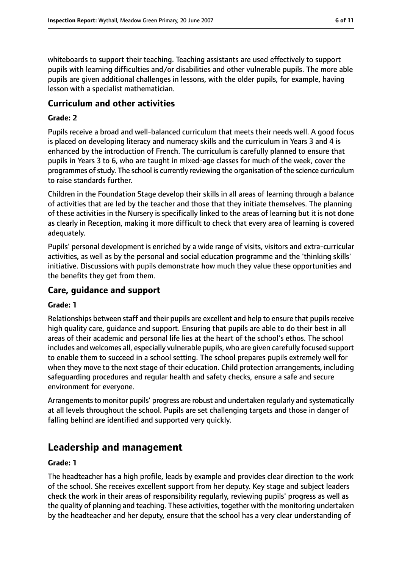whiteboards to support their teaching. Teaching assistants are used effectively to support pupils with learning difficulties and/or disabilities and other vulnerable pupils. The more able pupils are given additional challenges in lessons, with the older pupils, for example, having lesson with a specialist mathematician.

#### **Curriculum and other activities**

#### **Grade: 2**

Pupils receive a broad and well-balanced curriculum that meets their needs well. A good focus is placed on developing literacy and numeracy skills and the curriculum in Years 3 and 4 is enhanced by the introduction of French. The curriculum is carefully planned to ensure that pupils in Years 3 to 6, who are taught in mixed-age classes for much of the week, cover the programmes of study. The school is currently reviewing the organisation of the science curriculum to raise standards further.

Children in the Foundation Stage develop their skills in all areas of learning through a balance of activities that are led by the teacher and those that they initiate themselves. The planning of these activities in the Nursery is specifically linked to the areas of learning but it is not done as clearly in Reception, making it more difficult to check that every area of learning is covered adequately.

Pupils' personal development is enriched by a wide range of visits, visitors and extra-curricular activities, as well as by the personal and social education programme and the 'thinking skills' initiative. Discussions with pupils demonstrate how much they value these opportunities and the benefits they get from them.

#### **Care, guidance and support**

#### **Grade: 1**

Relationships between staff and their pupils are excellent and help to ensure that pupils receive high quality care, guidance and support. Ensuring that pupils are able to do their best in all areas of their academic and personal life lies at the heart of the school's ethos. The school includes and welcomes all, especially vulnerable pupils, who are given carefully focused support to enable them to succeed in a school setting. The school prepares pupils extremely well for when they move to the next stage of their education. Child protection arrangements, including safeguarding procedures and regular health and safety checks, ensure a safe and secure environment for everyone.

Arrangements to monitor pupils' progress are robust and undertaken regularly and systematically at all levels throughout the school. Pupils are set challenging targets and those in danger of falling behind are identified and supported very quickly.

### **Leadership and management**

#### **Grade: 1**

The headteacher has a high profile, leads by example and provides clear direction to the work of the school. She receives excellent support from her deputy. Key stage and subject leaders check the work in their areas of responsibility regularly, reviewing pupils' progress as well as the quality of planning and teaching. These activities, together with the monitoring undertaken by the headteacher and her deputy, ensure that the school has a very clear understanding of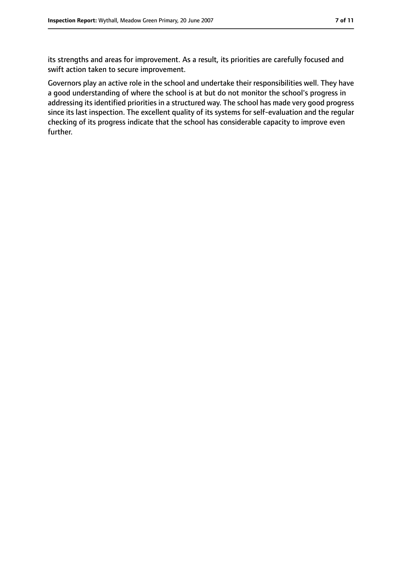its strengths and areas for improvement. As a result, its priorities are carefully focused and swift action taken to secure improvement.

Governors play an active role in the school and undertake their responsibilities well. They have a good understanding of where the school is at but do not monitor the school's progress in addressing its identified priorities in a structured way. The school has made very good progress since its last inspection. The excellent quality of its systems for self-evaluation and the regular checking of its progress indicate that the school has considerable capacity to improve even further.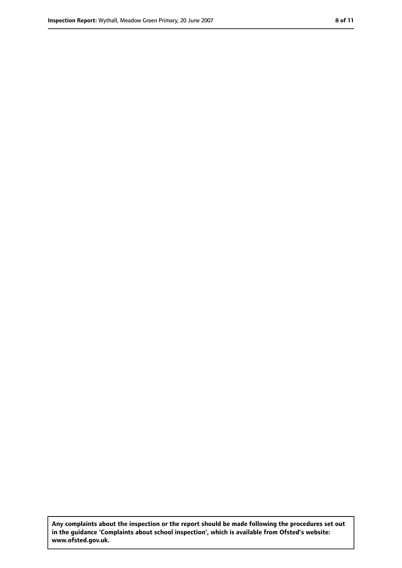**Any complaints about the inspection or the report should be made following the procedures set out in the guidance 'Complaints about school inspection', which is available from Ofsted's website: www.ofsted.gov.uk.**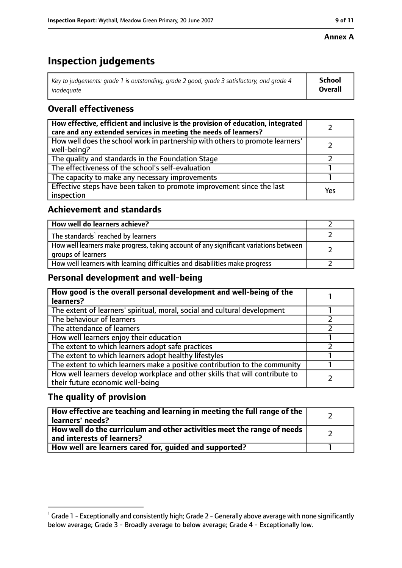#### **Annex A**

### **Inspection judgements**

| Key to judgements: grade 1 is outstanding, grade 2 good, grade 3 satisfactory, and grade 4 | <b>School</b>  |
|--------------------------------------------------------------------------------------------|----------------|
| inadeauate                                                                                 | <b>Overall</b> |

### **Overall effectiveness**

| How effective, efficient and inclusive is the provision of education, integrated<br>care and any extended services in meeting the needs of learners? |     |
|------------------------------------------------------------------------------------------------------------------------------------------------------|-----|
| How well does the school work in partnership with others to promote learners'<br>well-being?                                                         |     |
| The quality and standards in the Foundation Stage                                                                                                    |     |
| The effectiveness of the school's self-evaluation                                                                                                    |     |
| The capacity to make any necessary improvements                                                                                                      |     |
| Effective steps have been taken to promote improvement since the last<br>inspection                                                                  | Yes |

### **Achievement and standards**

| How well do learners achieve?                                                                               |  |
|-------------------------------------------------------------------------------------------------------------|--|
| The standards <sup>1</sup> reached by learners                                                              |  |
| How well learners make progress, taking account of any significant variations between<br>groups of learners |  |
| How well learners with learning difficulties and disabilities make progress                                 |  |

### **Personal development and well-being**

| How good is the overall personal development and well-being of the<br>learners?                                  |  |
|------------------------------------------------------------------------------------------------------------------|--|
| The extent of learners' spiritual, moral, social and cultural development                                        |  |
| The behaviour of learners                                                                                        |  |
| The attendance of learners                                                                                       |  |
| How well learners enjoy their education                                                                          |  |
| The extent to which learners adopt safe practices                                                                |  |
| The extent to which learners adopt healthy lifestyles                                                            |  |
| The extent to which learners make a positive contribution to the community                                       |  |
| How well learners develop workplace and other skills that will contribute to<br>their future economic well-being |  |

### **The quality of provision**

| How effective are teaching and learning in meeting the full range of the<br>learners' needs?          |  |
|-------------------------------------------------------------------------------------------------------|--|
| How well do the curriculum and other activities meet the range of needs<br>and interests of learners? |  |
| How well are learners cared for, quided and supported?                                                |  |

 $^1$  Grade 1 - Exceptionally and consistently high; Grade 2 - Generally above average with none significantly below average; Grade 3 - Broadly average to below average; Grade 4 - Exceptionally low.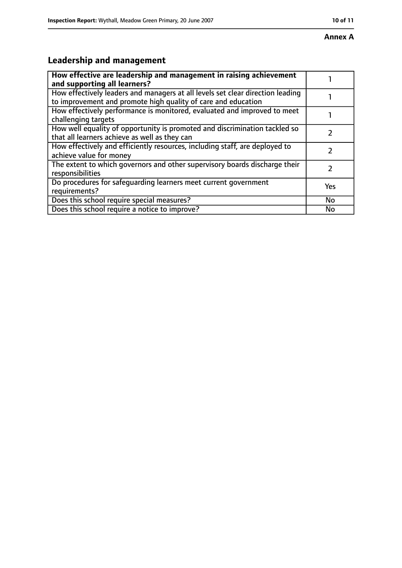## **Leadership and management**

| How effective are leadership and management in raising achievement<br>and supporting all learners?                                              |     |
|-------------------------------------------------------------------------------------------------------------------------------------------------|-----|
| How effectively leaders and managers at all levels set clear direction leading<br>to improvement and promote high quality of care and education |     |
| How effectively performance is monitored, evaluated and improved to meet<br>challenging targets                                                 |     |
| How well equality of opportunity is promoted and discrimination tackled so<br>that all learners achieve as well as they can                     |     |
| How effectively and efficiently resources, including staff, are deployed to<br>achieve value for money                                          |     |
| The extent to which governors and other supervisory boards discharge their<br>responsibilities                                                  |     |
| Do procedures for safeguarding learners meet current government<br>requirements?                                                                | Yes |
| Does this school require special measures?                                                                                                      | No  |
| Does this school require a notice to improve?                                                                                                   | No  |